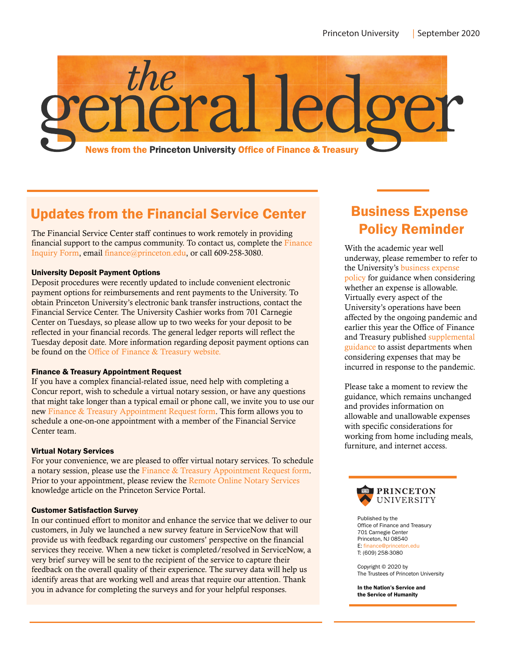

# Updates from the Financial Service Center

The Financial Service Center staff continues to work remotely in providing **Policy Reminder** financial support to the campus community. To contact us, complete the [Finance](https://princeton.service-now.com/service?id=sc_cat_item&sys_id=a3ac51fbdb62041053d44d8b139619f0)  [Inquiry Form,](https://princeton.service-now.com/service?id=sc_cat_item&sys_id=a3ac51fbdb62041053d44d8b139619f0) email [finance@princeton.edu,](mailto: finance@princeton.edu) or call 609-258-3080.

## University Deposit Payment Options

Deposit procedures were recently updated to include convenient electronic payment options for reimbursements and rent payments to the University. To obtain Princeton University's electronic bank transfer instructions, contact the Financial Service Center. The University Cashier works from 701 Carnegie Center on Tuesdays, so please allow up to two weeks for your deposit to be reflected in your financial records. The general ledger reports will reflect the Tuesday deposit date. More information regarding deposit payment options can be found on the [Office of Finance & Treasury website.](https://finance.princeton.edu/sites/g/files/toruqf151/files/2020-05/Updated Deposit Procedures.pdf)

## Finance & Treasury Appointment Request

If you have a complex financial-related issue, need help with completing a Concur report, wish to schedule a virtual notary session, or have any questions that might take longer than a typical email or phone call, we invite you to use our new [Finance & Treasury Appointment Request form.](https://princeton.service-now.com/service?id=sc_cat_item&sys_id=fdb3ff501b03905098d1217e6e4bcb6e) This form allows you to schedule a one-on-one appointment with a member of the Financial Service Center team.

## Virtual Notary Services

For your convenience, we are pleased to offer virtual notary services. To schedule a notary session, please use the [Finance & Treasury Appointment Request form.](https://princeton.service-now.com/service?id=sc_cat_item&sys_id=fdb3ff501b03905098d1217e6e4bcb6e) Prior to your appointment, please review the [Remote Online Notary Services](https://princeton.service-now.com/service?id=kb_article&sys_id=76d89cb21b7e1410435885d56b4bcba8) knowledge article on the Princeton Service Portal.

#### Customer Satisfaction Survey

In our continued effort to monitor and enhance the service that we deliver to our customers, in July we launched a new survey feature in ServiceNow that will provide us with feedback regarding our customers' perspective on the financial services they receive. When a new ticket is completed/resolved in ServiceNow, a very brief survey will be sent to the recipient of the service to capture their feedback on the overall quality of their experience. The survey data will help us identify areas that are working well and areas that require our attention. Thank you in advance for completing the surveys and for your helpful responses.

# Business Expense

With the academic year well underway, please remember to refer to the University's [business expense](https://finance.princeton.edu/policies/business-expense-policy)  [policy](https://finance.princeton.edu/policies/business-expense-policy) for guidance when considering whether an expense is allowable. Virtually every aspect of the University's operations have been affected by the ongoing pandemic and earlier this year the Office of Finance and Treasury published [supplemental](https://finance.princeton.edu/sites/g/files/toruqf151/files/2020-06/Policy Guidance for Pandemic Related Expenses.pdf)  [guidance](https://finance.princeton.edu/sites/g/files/toruqf151/files/2020-06/Policy Guidance for Pandemic Related Expenses.pdf) to assist departments when considering expenses that may be incurred in response to the pandemic.

Please take a moment to review the guidance, which remains unchanged and provides information on allowable and unallowable expenses with specific considerations for working from home including meals, furniture, and internet access.



Published by the Office of Finance and Treasury 701 Carnegie Center Princeton, NJ 08540 E: finance@princeton.edu T: (609) 258-3080

Copyright © 2020 by The Trustees of Princeton University

In the Nation's Service and the Service of Humanity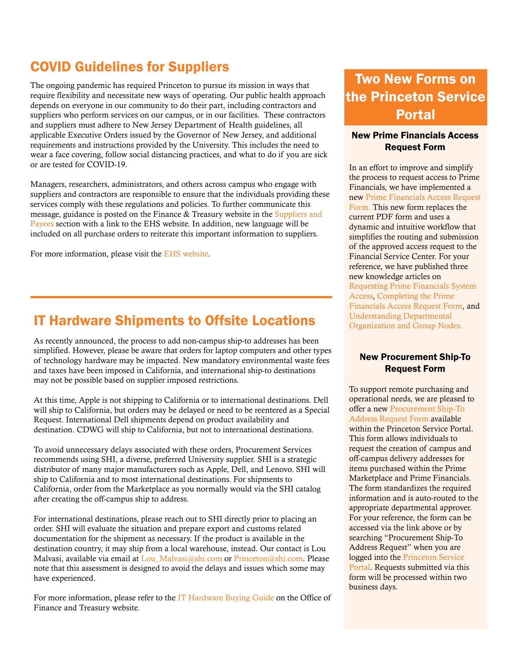# COVID Guidelines for Suppliers

The ongoing pandemic has required Princeton to pursue its mission in ways that require flexibility and necessitate new ways of operating. Our public health approach depends on everyone in our community to do their part, including contractors and suppliers who perform services on our campus, or in our facilities. These contractors and suppliers must adhere to New Jersey Department of Health guidelines, all applicable Executive Orders issued by the Governor of New Jersey, and additional requirements and instructions provided by the University. This includes the need to wear a face covering, follow social distancing practices, and what to do if you are sick or are tested for COVID-19.

Managers, researchers, administrators, and others across campus who engage with suppliers and contractors are responsible to ensure that the individuals providing these services comply with these regulations and policies. To further communicate this message, guidance is posted on the Finance & Treasury website in the [Suppliers and](https://finance.princeton.edu/special-information/suppliers-and-payees)  [Payees](https://finance.princeton.edu/special-information/suppliers-and-payees) section with a link to the EHS website. In addition, new language will be included on all purchase orders to reiterate this important information to suppliers.

For more information, please visit the [EHS website.](https://ehs.princeton.edu/health-safety-the-campus-community/covid-19-information-and-resources/information-university-contractors)

## IT Hardware Shipments to Offsite Locations

As recently announced, the process to add non-campus ship-to addresses has been simplified. However, please be aware that orders for laptop computers and other types of technology hardware may be impacted. New mandatory environmental waste fees and taxes have been imposed in California, and international ship-to destinations may not be possible based on supplier imposed restrictions.

At this time, Apple is not shipping to California or to international destinations. Dell will ship to California, but orders may be delayed or need to be reentered as a Special Request. International Dell shipments depend on product availability and destination. CDWG will ship to California, but not to international destinations.

To avoid unnecessary delays associated with these orders, Procurement Services recommends using SHI, a diverse, preferred University supplier. SHI is a strategic distributor of many major manufacturers such as Apple, Dell, and Lenovo. SHI will ship to California and to most international destinations. For shipments to California, order from the Marketplace as you normally would via the SHI catalog after creating the off-campus ship to address.

For international destinations, please reach out to SHI directly prior to placing an order. SHI will evaluate the situation and prepare export and customs related documentation for the shipment as necessary. If the product is available in the destination country, it may ship from a local warehouse, instead. Our contact is Lou Malvasi, available via email at Lou Malvasi@shi.com or [Princeton@shi.com.](mailto: Princeton@shi.com) Please note that this assessment is designed to avoid the delays and issues which some may have experienced.

For more information, please refer to the [IT Hardware Buying Guide](https://finance.princeton.edu/document/4376) on the Office of Finance and Treasury website.

# Two New Forms on the Princeton Service Portal

## New Prime Financials Access Request Form

In an effort to improve and simplify the process to request access to Prime Financials, we have implemented a new [Prime Financials Access Request](https://princeton.service-now.com/service?id=sc_cat_item&sys_id=d97dbe3adbe2809053d44d8b139619c7)  [Form.](https://princeton.service-now.com/service?id=sc_cat_item&sys_id=d97dbe3adbe2809053d44d8b139619c7) This new form replaces the current PDF form and uses a dynamic and intuitive workflow that simplifies the routing and submission of the approved access request to the Financial Service Center. For your reference, we have published three new knowledge articles on [Requesting Prime Financials System](https://princeton.service-now.com/service?id=kb_article&sys_id=0caca5781bf6d4105ffe217e6e4bcbbf)  [Access,](https://princeton.service-now.com/service?id=kb_article&sys_id=0caca5781bf6d4105ffe217e6e4bcbbf) [Completing the Prime](https://princeton.service-now.com/service?id=kb_article&sys_id=ed2679b81b7ad4105ffe217e6e4bcb20)  [Financials Access Request Form,](https://princeton.service-now.com/service?id=kb_article&sys_id=ed2679b81b7ad4105ffe217e6e4bcb20) and Understanding Departmental [Organization and Group Nodes.](https://princeton.service-now.com/service?id=kb_article&sys_id=7a5e01e51b1f1410b69cca292a4bcb28)

## New Procurement Ship-To Request Form

To support remote purchasing and operational needs, we are pleased to offer a new [Procurement Ship-To](https://princeton.service-now.com/service?id=sc_cat_item&sys_id=158163dcdb35d814aa2cc25a13961905)  [Address Request Form](https://princeton.service-now.com/service?id=sc_cat_item&sys_id=158163dcdb35d814aa2cc25a13961905) available within the Princeton Service Portal. This form allows individuals to request the creation of campus and off-campus delivery addresses for items purchased within the Prime Marketplace and Prime Financials. The form standardizes the required information and is auto-routed to the appropriate departmental approver. For your reference, the form can be accessed via the link above or by searching "Procurement Ship-To Address Request" when you are logged into the [Princeton Service](https://princeton.service-now.com/service)  [Portal.](https://princeton.service-now.com/service) Requests submitted via this form will be processed within two business days.